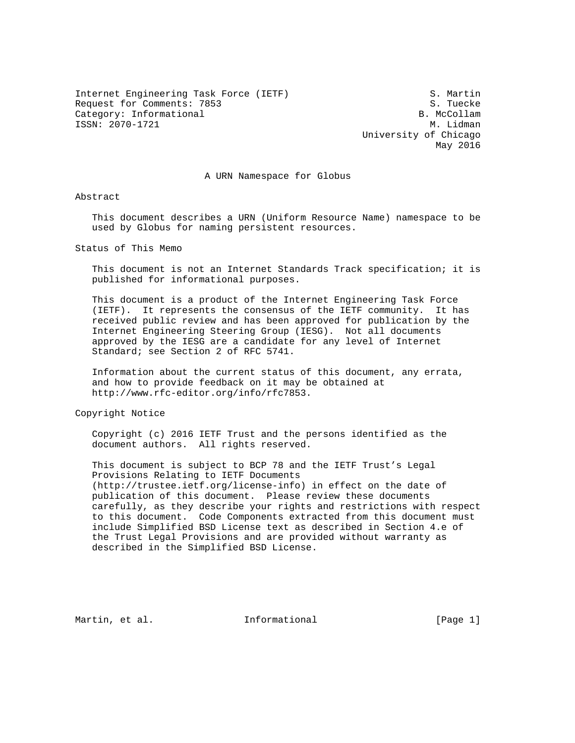Internet Engineering Task Force (IETF) S. Martin Request for Comments: 7853<br>Category: Informational Section of the Section of the Section of Section of Section of Section of Section of S Category: Informational ISSN: 2070-1721 M. Lidman

 University of Chicago May 2016

A URN Namespace for Globus

Abstract

 This document describes a URN (Uniform Resource Name) namespace to be used by Globus for naming persistent resources.

Status of This Memo

 This document is not an Internet Standards Track specification; it is published for informational purposes.

 This document is a product of the Internet Engineering Task Force (IETF). It represents the consensus of the IETF community. It has received public review and has been approved for publication by the Internet Engineering Steering Group (IESG). Not all documents approved by the IESG are a candidate for any level of Internet Standard; see Section 2 of RFC 5741.

 Information about the current status of this document, any errata, and how to provide feedback on it may be obtained at http://www.rfc-editor.org/info/rfc7853.

Copyright Notice

 Copyright (c) 2016 IETF Trust and the persons identified as the document authors. All rights reserved.

 This document is subject to BCP 78 and the IETF Trust's Legal Provisions Relating to IETF Documents (http://trustee.ietf.org/license-info) in effect on the date of publication of this document. Please review these documents carefully, as they describe your rights and restrictions with respect to this document. Code Components extracted from this document must include Simplified BSD License text as described in Section 4.e of the Trust Legal Provisions and are provided without warranty as described in the Simplified BSD License.

Martin, et al.  $I_n$  Informational (Page 1)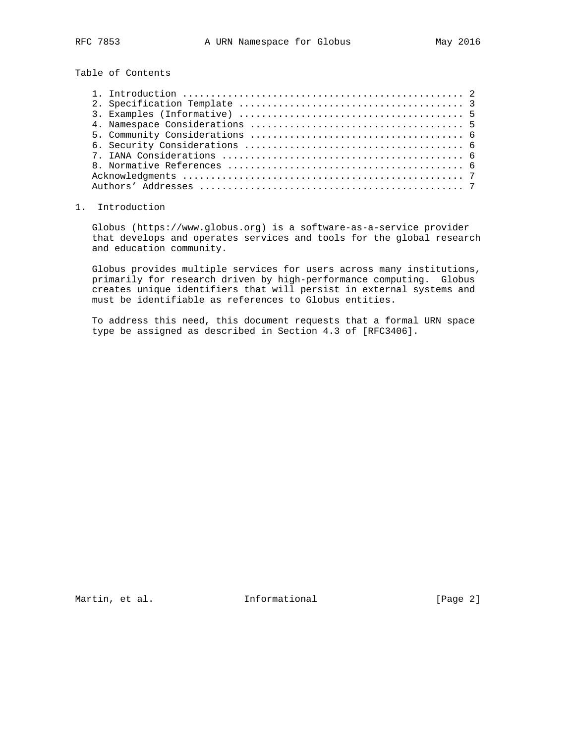Table of Contents

## 1. Introduction

 Globus (https://www.globus.org) is a software-as-a-service provider that develops and operates services and tools for the global research and education community.

 Globus provides multiple services for users across many institutions, primarily for research driven by high-performance computing. Globus creates unique identifiers that will persist in external systems and must be identifiable as references to Globus entities.

 To address this need, this document requests that a formal URN space type be assigned as described in Section 4.3 of [RFC3406].

Martin, et al. 1nformational 1999 [Page 2]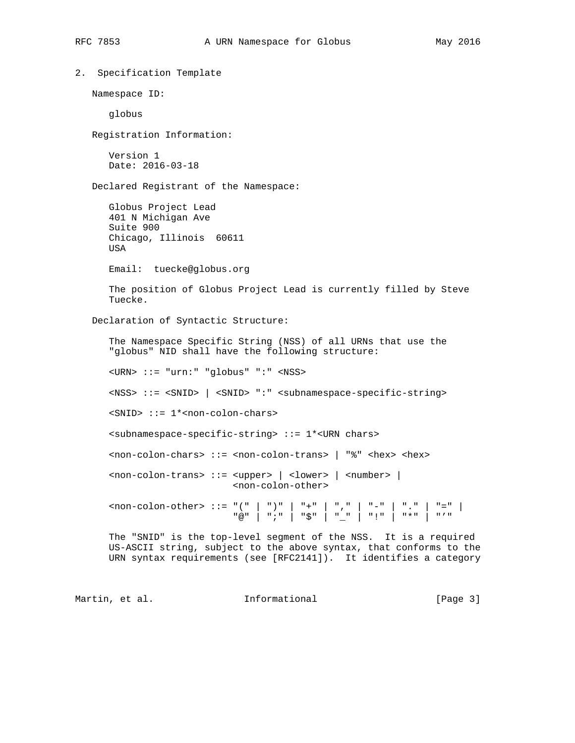```
2. Specification Template
  Namespace ID:
     globus
  Registration Information:
     Version 1
     Date: 2016-03-18
  Declared Registrant of the Namespace:
     Globus Project Lead
      401 N Michigan Ave
     Suite 900
     Chicago, Illinois 60611
     USA
     Email: tuecke@globus.org
     The position of Globus Project Lead is currently filled by Steve
     Tuecke.
   Declaration of Syntactic Structure:
      The Namespace Specific String (NSS) of all URNs that use the
      "globus" NID shall have the following structure:
      <URN> ::= "urn:" "globus" ":" <NSS>
      <NSS> ::= <SNID> | <SNID> ":" <subnamespace-specific-string>
      <SNID> ::= 1*<non-colon-chars>
      <subnamespace-specific-string> ::= 1*<URN chars>
      <non-colon-chars> ::= <non-colon-trans> | "%" <hex> <hex>
      <non-colon-trans> ::= <upper> | <lower> | <number> |
                           <non-colon-other>
<non-colon-other> ::= "(" | ")" | "+" | "," | "-" | "." | "=" |
"@" | ";" | "$" | "_" | "!" | "*" | "'"
     The "SNID" is the top-level segment of the NSS. It is a required
     US-ASCII string, subject to the above syntax, that conforms to the
     URN syntax requirements (see [RFC2141]). It identifies a category
```
Martin, et al. Informational [Page 3]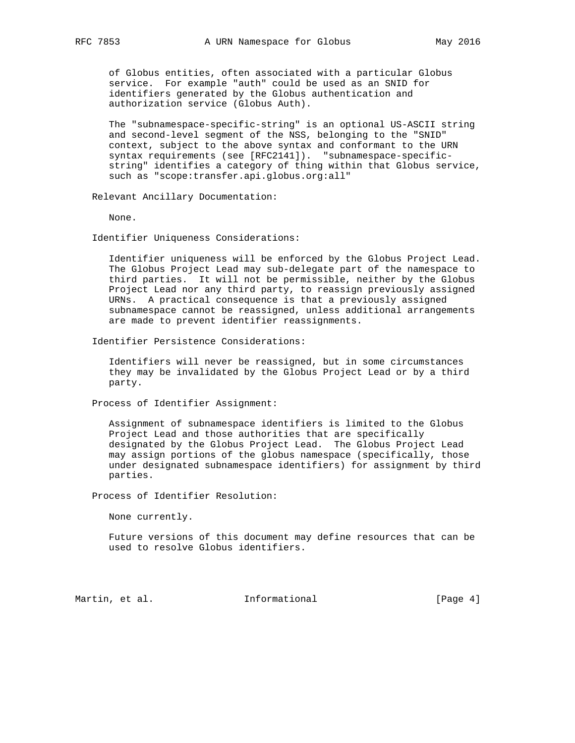of Globus entities, often associated with a particular Globus service. For example "auth" could be used as an SNID for identifiers generated by the Globus authentication and authorization service (Globus Auth).

 The "subnamespace-specific-string" is an optional US-ASCII string and second-level segment of the NSS, belonging to the "SNID" context, subject to the above syntax and conformant to the URN syntax requirements (see [RFC2141]). "subnamespace-specific string" identifies a category of thing within that Globus service, such as "scope:transfer.api.globus.org:all"

Relevant Ancillary Documentation:

None.

Identifier Uniqueness Considerations:

 Identifier uniqueness will be enforced by the Globus Project Lead. The Globus Project Lead may sub-delegate part of the namespace to third parties. It will not be permissible, neither by the Globus Project Lead nor any third party, to reassign previously assigned URNs. A practical consequence is that a previously assigned subnamespace cannot be reassigned, unless additional arrangements are made to prevent identifier reassignments.

Identifier Persistence Considerations:

 Identifiers will never be reassigned, but in some circumstances they may be invalidated by the Globus Project Lead or by a third party.

Process of Identifier Assignment:

 Assignment of subnamespace identifiers is limited to the Globus Project Lead and those authorities that are specifically designated by the Globus Project Lead. The Globus Project Lead may assign portions of the globus namespace (specifically, those under designated subnamespace identifiers) for assignment by third parties.

Process of Identifier Resolution:

None currently.

 Future versions of this document may define resources that can be used to resolve Globus identifiers.

Martin, et al. 1nformational 1998 [Page 4]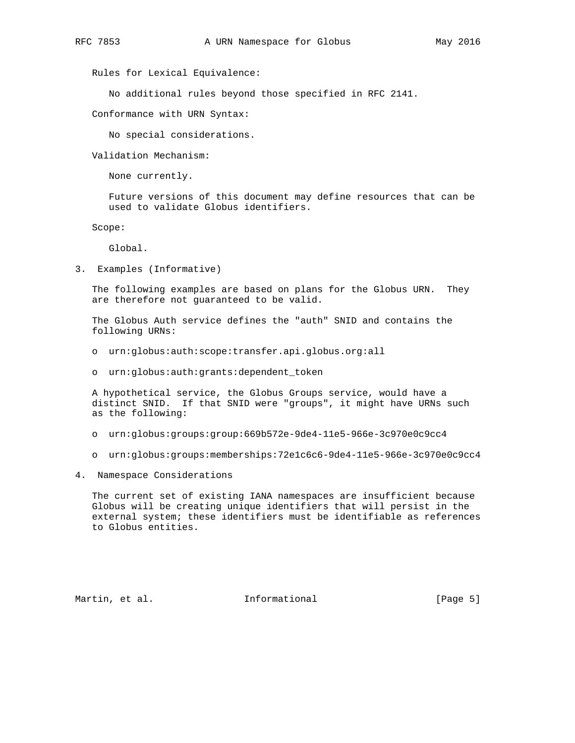Rules for Lexical Equivalence:

No additional rules beyond those specified in RFC 2141.

Conformance with URN Syntax:

No special considerations.

Validation Mechanism:

None currently.

 Future versions of this document may define resources that can be used to validate Globus identifiers.

Scope:

Global.

3. Examples (Informative)

 The following examples are based on plans for the Globus URN. They are therefore not guaranteed to be valid.

 The Globus Auth service defines the "auth" SNID and contains the following URNs:

- o urn:globus:auth:scope:transfer.api.globus.org:all
- o urn:globus:auth:grants:dependent\_token

 A hypothetical service, the Globus Groups service, would have a distinct SNID. If that SNID were "groups", it might have URNs such as the following:

- o urn:globus:groups:group:669b572e-9de4-11e5-966e-3c970e0c9cc4
- o urn:globus:groups:memberships:72e1c6c6-9de4-11e5-966e-3c970e0c9cc4
- 4. Namespace Considerations

 The current set of existing IANA namespaces are insufficient because Globus will be creating unique identifiers that will persist in the external system; these identifiers must be identifiable as references to Globus entities.

Martin, et al. 1nformational 1999 [Page 5]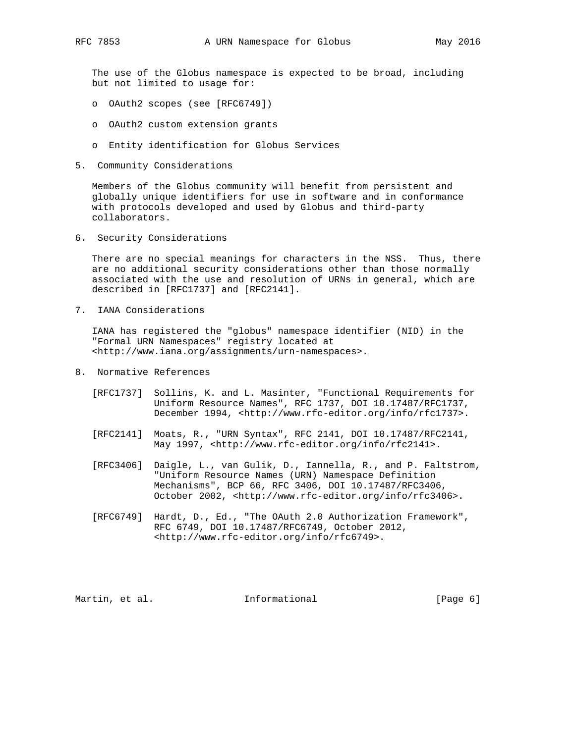The use of the Globus namespace is expected to be broad, including but not limited to usage for:

- o OAuth2 scopes (see [RFC6749])
- o OAuth2 custom extension grants
- o Entity identification for Globus Services
- 5. Community Considerations

 Members of the Globus community will benefit from persistent and globally unique identifiers for use in software and in conformance with protocols developed and used by Globus and third-party collaborators.

6. Security Considerations

 There are no special meanings for characters in the NSS. Thus, there are no additional security considerations other than those normally associated with the use and resolution of URNs in general, which are described in [RFC1737] and [RFC2141].

7. IANA Considerations

 IANA has registered the "globus" namespace identifier (NID) in the "Formal URN Namespaces" registry located at <http://www.iana.org/assignments/urn-namespaces>.

- 8. Normative References
	- [RFC1737] Sollins, K. and L. Masinter, "Functional Requirements for Uniform Resource Names", RFC 1737, DOI 10.17487/RFC1737, December 1994, <http://www.rfc-editor.org/info/rfc1737>.
	- [RFC2141] Moats, R., "URN Syntax", RFC 2141, DOI 10.17487/RFC2141, May 1997, <http://www.rfc-editor.org/info/rfc2141>.
	- [RFC3406] Daigle, L., van Gulik, D., Iannella, R., and P. Faltstrom, "Uniform Resource Names (URN) Namespace Definition Mechanisms", BCP 66, RFC 3406, DOI 10.17487/RFC3406, October 2002, <http://www.rfc-editor.org/info/rfc3406>.
	- [RFC6749] Hardt, D., Ed., "The OAuth 2.0 Authorization Framework", RFC 6749, DOI 10.17487/RFC6749, October 2012, <http://www.rfc-editor.org/info/rfc6749>.

Martin, et al. 1nformational 1999 [Page 6]